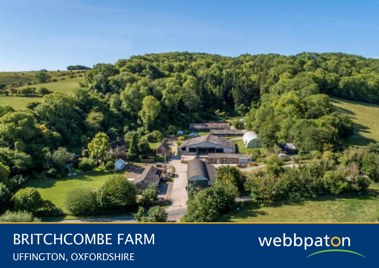

BRITCHCOMBE FARM UFFINGTON, OXFORDSHIRE

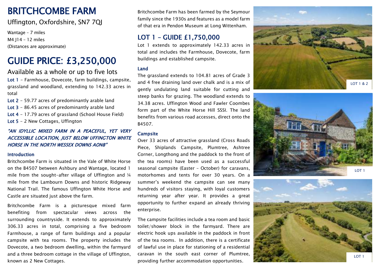## BRITCHCOMBE FARM

## Uffington, Oxfordshire, SN7 7QJ

Wantage – 7 miles M4 J14 – 12 miles (Distances are approximate)

# GUIDE PRICE: £3,250,000

Available as a whole or up to five lots

Lot 1 - Farmhouse, Dovecote, farm buildings, campsite, grassland and woodland, extending to 142.33 acres in total

Lot 2 - 59.77 acre s of predominantly arable land

Lot 3 - 86.45 acres of predominantly arable land

Lot 4 - 17.79 acres of grassland (School House Field)

Lot 5 - 2 New Cottages, Uffington

#### "AN IDYLLIC MIXED FARM IN A PEACEFUL, YET VERY ACCESSIBLE LOCATION, JUST BELOW UFFINGTON WHITE HORSE IN THE NORTH WESSEX DOWNS AONB "

#### Introduction

Britchcombe Farm is situated in the Vale of White Horse on the B4507 between Ashbury and Wantage, located 1 mile from the sought -after village of Uffington and ¼ mile from the Lambourn Downs and historic Ridgeway National Trail. The famous Uffington White Horse and Castle are situated just above the farm.

Britchcombe Farm is a picturesque mixed farm benefiting from spectacular views across the surrounding countryside. It extends to approximately 306.33 acres in total, comprising a five bedroom Farmhouse, a range of farm buildings and a popular campsite with tea rooms. The property includes the Dovecote, a two bedroom dwelling, within the farmyard and a three bedroom cottage in the village of Uffington, known as 2 New Cottages.

Britchcombe Farm has been farmed by the Seymour family since the 1930s and features as a model farm of that era in Pendon Museum at Long Wittenham.

## LOT 1 – GUIDE £1,750,000

Lot 1 extends to approximately 142.33 acres in total and includes the Farmhouse, Dovecote, farm buildings and established campsite.

#### Land

The grassland extends to 104.81 acres of Grade 3 and 4 free draining land over chalk and is a mix of gently undulating land suitable for cutting and steep banks for grazing. The woodland extends to 34.38 acres. Uffington Wood and Fawler Coombes form part of the White Horse Hill SSSI. The land benefits from various road accesses, direct onto the B4507 .

#### **Campsite**

Over 33 acres of attractive grassland (Cross Roads Piece, Shiplands Camp site, Plumtree, Ashtree Corner, Longthong and the paddock to the front of the tea rooms) have been used as a successful seasonal campsite (Easter – October) for caravans, motorhomes and tents for over 30 years. On a summer's weekend the campsite can see many hundreds of visitors staying, with loyal customers returning year after year. It provides a great opportunity to further expand an already thriving enterprise.

The campsite facilities include a tea room and basic toilet/shower block in the farmyard. There are electric hook ups available in the paddock in front of the tea rooms. In addition, there is a certificate of lawful use in place for stationing of a residential caravan in the south east corner of Plumtree, providing further accommodation opportunities.





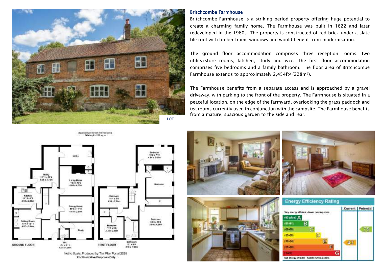

#### Britchcombe Farmhouse

Britchcombe Farmhouse is a striking period property offering huge potential to create a charming family home. The Farmhouse was built in 1622 and later redeveloped in the 1960s. The property is constructed of red brick under a slate tile roof with timber frame windows and would benefit from modernisation.

The ground floor accommodation comprises three reception rooms, two utility/store rooms, kitchen, study and w/c. The first floor accommodation comprises five bedrooms and a family bathroom. The floor area of Britchcombe Farmhouse extends to approximately 2,454ft<sup>2</sup> (228m<sup>2</sup>).

The Farmhouse benefits from a separate access and is approached by a gravel driveway, with parking to the front of the property. The Farmhouse is situated in a peaceful location, on the edge of the farmyard, overlooking the grass paddock and tea rooms currently used in conjunction with the campsite. The Farmhouse benefits from a mature, spacious garden to the side and rear.







### **Energy Efficiency Rating**

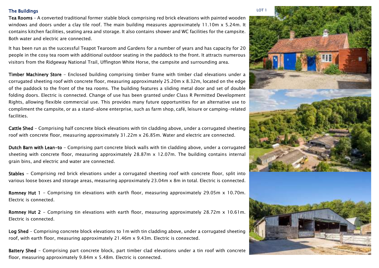#### The Buildings

Tea Rooms – A converted traditional former stable block comprising red brick elevations with painted wooden windows and doors under a clay tile roof. The main building measures approximately 11.10m x 5.24m. It contains kitchen facilities, seating area and storage. It also contains shower and WC facilities for the campsite. Both water and electric are connected.

It has been run as the successful Teapot Tearoom and Gardens for a number of years and has capacity for 20 people in the cosy tea room with additional outdoor seating in the paddock to the front. It attracts numerous visitors from the Ridgeway National Trail, Uffington White Horse, the campsite and surrounding area.

Timber Machinery Store - Enclosed building comprising timber frame with timber clad elevations under a corrugated sheeting roof with concrete floor, measuring approximately 25.20m x 8.32m, located on the edge of the paddock to the front of the tea rooms. The building features a sliding metal door and set of double folding doors. Electric is connected. Change of use has been granted under Class R Permitted Development Rights, allowing flexible commercial use. This provides many future opportunities for an alternative use to compliment the campsite, or as a stand-alone enterprise, such as farm shop, café, leisure or camping-related facilities.

Cattle Shed - Comprising half concrete block elevations with tin cladding above, under a corrugated sheeting roof with concrete floor, measuring approximately 31.22m x 26.85m. Water and electric are connected.

Dutch Barn with Lean-to - Comprising part concrete block walls with tin cladding above, under a corrugated sheeting with concrete floor, measuring approximately 28.87m x 12.07m. The building contains internal grain bins, and electric and water are connected.

Stables - Comprising red brick elevations under a corrugated sheeting roof with concrete floor, split into various loose boxes and storage areas, measuring approximately 23.04m x 8m in total. Electric is connected.

Romney Hut 1 - Comprising tin elevations with earth floor, measuring approximately 29.05m x 10.70m. Electric is connected.

Romney Hut 2 - Comprising tin elevations with earth floor, measuring approximately 28.72m x 10.61m. Electric is connected.

Log Shed - Comprising concrete block elevations to 1m with tin cladding above, under a corrugated sheeting roof, with earth floor, measuring approximately 21.46m x 9.43m. Electric is connected.

Battery Shed - Comprising part concrete block, part timber clad elevations under a tin roof with concrete floor, measuring approximately 9.84m x 5.48m. Electric is connected.

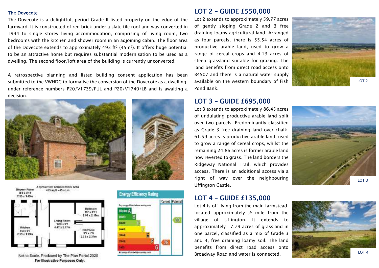#### The Dovecote

The Dovecote is a delightful, period Grade II listed property on the edge of the farmyard. It is constructed of red brick under a slate tile roof and was converted in 1994 to single storey living accommodation, comprising of living room, two bedrooms with the kitchen and shower room in an adjoining cabin. The floor area of the Dovecote extends to approximately 493 ft<sup>2</sup> (45m<sup>2</sup>). It offers huge potential to be an attractive home but requires substantial modernisation to be used as a dwelling. The second floor/loft area of the building is currently unconverted.

A retrospective planning and listed building consent application has been submitted to the VWHDC to formalise the conversion of the Dovecote as a dwelling, under reference numbers P20/V1739/FUL and P20/V1740/LB and is awaiting a decision.





Not to Scale. Produced by The Plan Portal 2020 For Illustrative Purposes Only.



## LOT 2 – GUIDE £550,000

Lot 2 extends to approximately 59.77 acres of gently sloping Grade 2 and 3 free draining loamy agricultural land. Arranged as four parcels, there is 55.54 acres of productive arable land, used to grow a range of cereal crops and 4.13 acres of steep grassland suitable for grazing. The land benefits from direct road access onto B4507 and there is a natural water supply available on the western boundary of Fish Pond Bank.



### LOT 3 – GUIDE £695,000

Lot 3 extends to approximately 86.45 acres of undulating productive arable land spilt over two parcels. Predominantly classified as Grade 3 free draining land over chalk. 61.59 acres is productive arable land, used to grow a range of cereal crops, whilst the remaining 24.86 acres is former arable land now reverted to grass. The land borders the Ridgeway National Trail, which provides access. There is an additional access via a right of way over the neighbouring Uffington Castle.



## LOT 4 – GUIDE £135,000

Lot 4 is off-lying from the main farmstead, located approximately ½ mile from the village of Uffington. It extends to approximately 17.79 acres of grassland in one parcel, classified as a mix of Grade 3 and 4, free draining loamy soil. The land benefits from direct road access onto Broadway Road and water is connected.

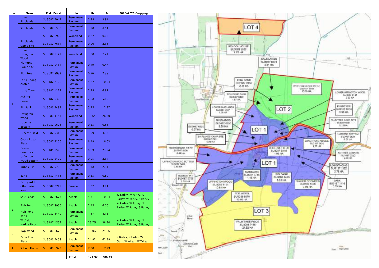| Lot           | Name                                 | <b>Field Parcel</b> | Use                                | Ha     | Ac     | 2016-2020 Cropping                                  |
|---------------|--------------------------------------|---------------------|------------------------------------|--------|--------|-----------------------------------------------------|
|               | Lower<br><b>Shiplands</b>            | SU3087 7047         | Permanent<br><b>Pasture</b>        | 1.58   | 3.91   |                                                     |
| 1             | <b>Shiplands</b>                     | SU3087 6530         | Permanent<br>Pasture               | 3.50   | 8.64   |                                                     |
|               |                                      | SU3087 6920         | Woodland                           | 0.27   | 0.67   |                                                     |
|               | <b>Shiplands</b><br><b>Camp Site</b> | SU3087 7631         | Permanent<br>Pasture               | 0.96   | 2.36   |                                                     |
|               | Lower<br><b>Uffington</b><br>Wood    | SU3087 8141         | Woodland                           | 3.00   | 7.41   |                                                     |
|               | Plumtree<br>Camp Site                | SU3087 9431         | Permanent<br>Pasture               | 0.19   | 0.47   |                                                     |
|               | Plumtree                             | SU3087 8933         | Permanent<br><b>Pasture</b>        | 0.96   | 2.38   |                                                     |
|               | Long Thong<br>Arable                 | SU3187 2420         | Permanent<br>Pasture               | 4.27   | 10.54  |                                                     |
|               | <b>Long Thong</b>                    | SU3187 1122         | Permanent<br><b>Pasture</b>        | 2.78   | 6.87   |                                                     |
|               | Ashtree<br>Corner                    | SU3187 0320         | Permanent<br>Pasture               | 2.08   | 5.15   |                                                     |
|               | Pig Bank                             | SU3086 9495         | Permanent<br>Pasture               | 5.25   | 12.97  |                                                     |
|               | <b>Uffington</b><br>Wood             | SU3086 4181         | Woodland                           | 10.64  | 26.30  |                                                     |
|               | Lucerne<br><b>Bottom</b>             | SU3087 9626         | Permanent<br>Pasture               | 0.23   | 0.58   |                                                     |
|               | Lucerne Field                        | SU3087 9318         | Permanent<br>Pasture               | 1.99   | 4.93   |                                                     |
|               | <b>Cross Roads</b><br>Piece          | SU3087 4106         | Permanent<br><b>Pasture</b>        | 6.49   | 16.03  |                                                     |
|               | Fawler<br>Coombes                    | SU3186 1596         | Permanent<br>Pasture               | 9.69   | 23.94  |                                                     |
|               | Uffington<br><b>Wood Bottom</b>      | SU3087 5409         | Permanent<br><b>Pasture</b>        | 0.95   | 2.34   |                                                     |
|               | <b>Rubble Pit</b>                    | SU3087 5706         | Permanent<br>Pasture               | 1.18   | 2.91   |                                                     |
|               | <b>Bank</b>                          | SU3187 1416         | Permanent<br>Pasture               | 0.33   | 0.80   |                                                     |
|               | Farmyard &<br>other misc<br>areas    | SU0387 7715         | Farmyard                           | 1.27   | 3.14   |                                                     |
| $\mathcal{P}$ | Sale Lands                           | SU3087 8673         | Arable                             | 4.31   | 10.64  | W Barley, W Barley, S<br>Barley, W Barley, S Barley |
|               | <b>Fish Pond</b>                     | SU3087 8956         | Arable                             | 2.45   | 6.06   | W Barley, W Barley, S<br>Barley, W Barley, S Barley |
|               | Fish Pond<br>Bank                    | SU3087 8449         | Permanent<br><b>Pasture</b>        | 1.67   | 4.13   |                                                     |
|               | Witfield<br><b>Hedge Piece</b>       | SU3187 1559         | Arable                             | 15.76  | 38.94  | W Barley, W Barley, S<br>Barley, W Barley, S Barley |
| 3             | <b>Top Wood</b>                      | SU3086 6678         | Permanent<br>Pasture               | 10.06  | 24.86  |                                                     |
|               | Palm Tree<br>Piece                   | SU3086 7458         | Arable                             | 24.92  | 61.59  | S Barley, S Barley, W<br>Oats, W Wheat, W Wheat     |
| 4             | <b>School House</b>                  | SU3088 6923         | <b>Permanent</b><br><b>Pasture</b> | 7.20   | 17.79  |                                                     |
|               |                                      |                     | Total                              | 123.97 | 306.33 |                                                     |

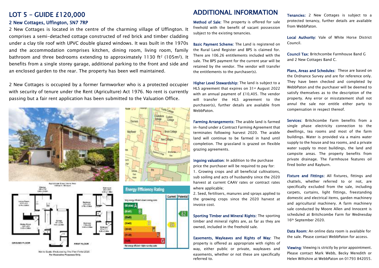## LOT 5 – GUIDE £120,000

#### 2 New Cottages, Uffington, SN7 7RP

2 New Cottages is located in the centre of the charming village of Uffington. It comprises a semi-detached cottage constructed of red brick and timber cladding under a clay tile roof with UPVC double glazed windows. It was built in the 1970s and the accommodation comprises kitchen, dining room, living room, family bathroom and three bedrooms extending to approximately 1130 ft<sup>2</sup> (105m<sup>2</sup>). It benefits from a single storey garage, additional parking to the front and side and an enclosed garden to the rear. The property has been well maintained.

2 New Cottages is occupied by a former farmworker who is a protected occupier with security of tenure under the Rent (Agriculture) Act 1976. No rent is currently passing but a fair rent application has been submitted to the Valuation Office.





Not to Scale Produced by The Plan Portel 2020 For Electratine Passases Only.





## ADDITIONAL INFORMATION

Method of Sale: The property is offered for sale freehold with the benefit of vacant possession subject to the existing tenancies.

Basic Payment Scheme: The Land is registered on the Rural Land Register and BPS is claimed for. There are 106.26 entitlements included with the sale. The BPS payment for the current year will be retained by the vendor. The vendor will transfer the entitlements to the purchaser(s).

Higher Level Stewardship: The land is subject to a HLS agreement that expires on 31<sup>st</sup> August 2022 with an annual payment of £10,405. The vendor will transfer the HLS agreement to the purchaser(s), further details are available from WebbPaton.

Farming Arrangements: The arable land is farmed in-hand under a Contract Farming Agreement that terminates following harvest 2020. The arable land will continue to be farmed in hand until completion. The grassland is grazed on flexible grazing agreements.

Ingoing valuation: In addition to the purchase price the purchaser will be required to pay for: 1. Growing crops and all beneficial cultivations, sub soiling and acts of husbandry since the 2020 harvest at current CAAV rates or contract rates where applicable;

2. Seed, fertilisers, manures and sprays applied to the growing crops since the 2020 harvest at invoice cost.

Sporting Timber and Mineral Rights: The sporting timber and mineral rights are, as far as they are owned, included in the freehold sale.

Easements, Wayleaves and Rights of Way: The property is offered as appropriate with rights of way, either public or private, wayleaves and easements, whether or not these are specifically referred to.

Tenancies: 2 New Cottages is subject to a protected tenancy, further details are available from WebbPaton.

Local Authority: Vale of White Horse District Council.

Council Tax: Britchcombe Farmhouse Band G and 2 New Cottages Band C.

Plans, Areas and Schedules: These are based on the Ordnance Survey and are for reference only. They have been checked and completed by WebbPaton and the purchaser will be deemed to satisfy themselves as to the description of the property. Any error or misstatement shall not annul the sale nor entitle either party to compensation in respect thereof.

Services: Britchcombe Farm benefits from a single phase electricity connection to the dwellings, tea rooms and most of the farm buildings. Water is provided via a mains water supply to the house and tea rooms, and a private water supply to most buildings, the land and campsite areas. The property benefits from private drainage. The Farmhouse features oil fired boiler and Rayburn.

Fixture and Fittings: All fixtures, fittings and chattels, whether referred to or not, are specifically excluded from the sale, including carpets, curtains, light fittings, freestanding domestic and electrical items, garden machinery and agricultural machinery. A farm machinery sale conducted by Moore Allen and Innocent is scheduled at Britchcombe Farm for Wednesday 16th September 2020.

Data Room: An online data room is available for the sale. Please contact WebbPaton for access.

Viewing: Viewing is strictly by prior appointment. Please contact Mark Webb, Becky Meredith or Helen Wiltshire at WebbPaton on 01793 842055.